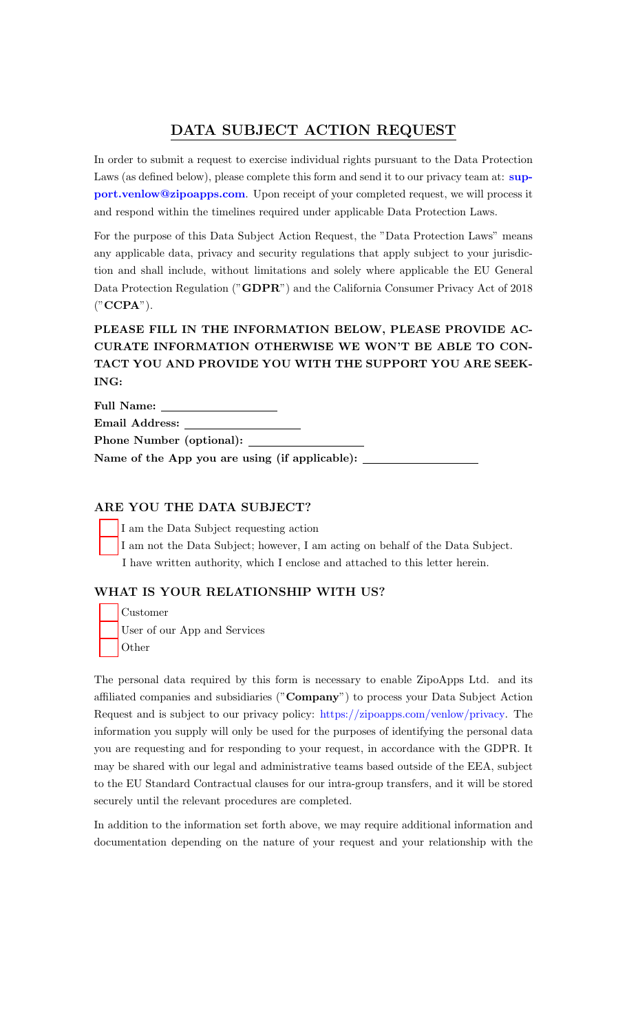# DATA SUBJECT ACTION REQUEST

In order to submit a request to exercise individual rights pursuant to the Data Protection Laws (as defined below), please complete this form and send it to our privacy team at: [sup](mailto:support.venlow@zipoapps.com)[port.venlow@zipoapps.com](mailto:support.venlow@zipoapps.com). Upon receipt of your completed request, we will process it and respond within the timelines required under applicable Data Protection Laws.

For the purpose of this Data Subject Action Request, the "Data Protection Laws" means any applicable data, privacy and security regulations that apply subject to your jurisdiction and shall include, without limitations and solely where applicable the EU General Data Protection Regulation ("GDPR") and the California Consumer Privacy Act of 2018 ("CCPA").

# PLEASE FILL IN THE INFORMATION BELOW, PLEASE PROVIDE AC-CURATE INFORMATION OTHERWISE WE WON'T BE ABLE TO CON-TACT YOU AND PROVIDE YOU WITH THE SUPPORT YOU ARE SEEK-ING:

Full Name: Email Address: Phone Number (optional):

Name of the App you are using (if applicable):

### ARE YOU THE DATA SUBJECT?

I am the Data Subject requesting action I am not the Data Subject; however, I am acting on behalf of the Data Subject. I have written authority, which I enclose and attached to this letter herein.

### WHAT IS YOUR RELATIONSHIP WITH US?

Customer User of our App and Services **Other** 

The personal data required by this form is necessary to enable ZipoApps Ltd. and its affiliated companies and subsidiaries ("Company") to process your Data Subject Action Request and is subject to our privacy policy: [https://zipoapps.com/venlow/privacy.](https://zipoapps.com/venlow/privacy) The information you supply will only be used for the purposes of identifying the personal data you are requesting and for responding to your request, in accordance with the GDPR. It may be shared with our legal and administrative teams based outside of the EEA, subject to the EU Standard Contractual clauses for our intra-group transfers, and it will be stored securely until the relevant procedures are completed.

In addition to the information set forth above, we may require additional information and documentation depending on the nature of your request and your relationship with the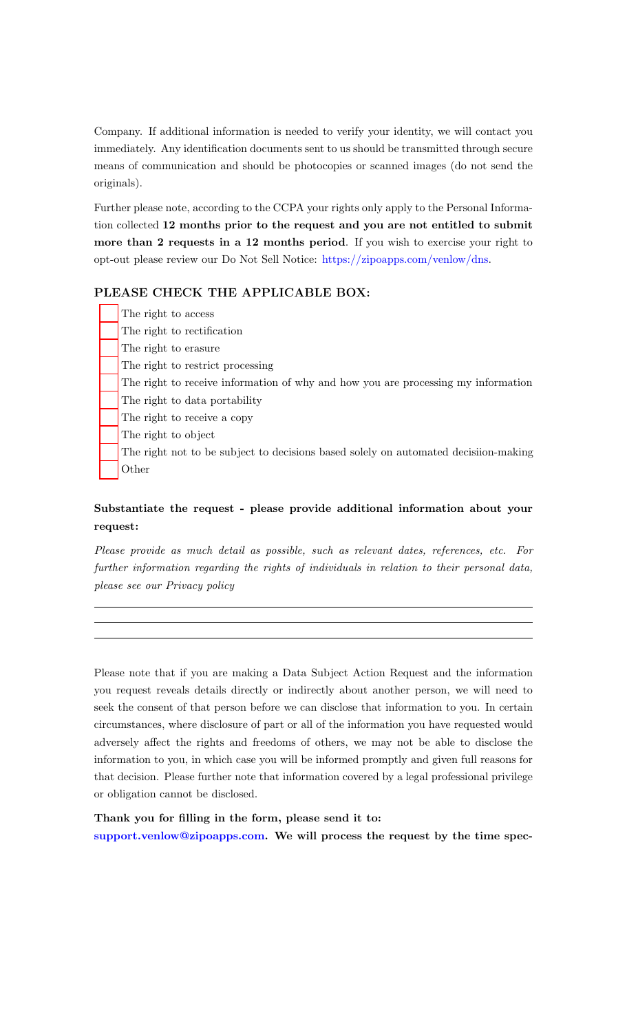Company. If additional information is needed to verify your identity, we will contact you immediately. Any identification documents sent to us should be transmitted through secure means of communication and should be photocopies or scanned images (do not send the originals).

Further please note, according to the CCPA your rights only apply to the Personal Information collected 12 months prior to the request and you are not entitled to submit more than 2 requests in a 12 months period. If you wish to exercise your right to opt-out please review our Do Not Sell Notice: [https://zipoapps.com/venlow/dns.](https://zipoapps.com/venlow/dns)

#### PLEASE CHECK THE APPLICABLE BOX:

|  | The right to access                                                                |
|--|------------------------------------------------------------------------------------|
|  | The right to rectification                                                         |
|  | The right to erasure                                                               |
|  | The right to restrict processing                                                   |
|  | The right to receive information of why and how you are processing my information  |
|  | The right to data portability                                                      |
|  | The right to receive a copy                                                        |
|  | The right to object                                                                |
|  | The right not to be subject to decisions based solely on automated decision-making |
|  | Other                                                                              |

## Substantiate the request - please provide additional information about your request:

Please provide as much detail as possible, such as relevant dates, references, etc. For further information regarding the rights of individuals in relation to their personal data, please see our Privacy policy

Please note that if you are making a Data Subject Action Request and the information you request reveals details directly or indirectly about another person, we will need to seek the consent of that person before we can disclose that information to you. In certain circumstances, where disclosure of part or all of the information you have requested would adversely affect the rights and freedoms of others, we may not be able to disclose the information to you, in which case you will be informed promptly and given full reasons for that decision. Please further note that information covered by a legal professional privilege or obligation cannot be disclosed.

Thank you for filling in the form, please send it to: [support.venlow@zipoapps.com.](mailto:support.venlow@zipoapps.com) We will process the request by the time spec